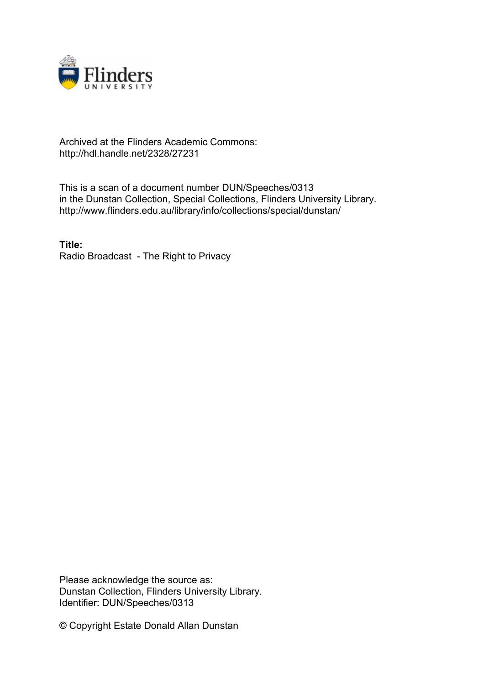

## Archived at the Flinders Academic Commons: http://hdl.handle.net/2328/27231

This is a scan of a document number DUN/Speeches/0313 in the Dunstan Collection, Special Collections, Flinders University Library. http://www.flinders.edu.au/library/info/collections/special/dunstan/

**Title:** Radio Broadcast - The Right to Privacy

Please acknowledge the source as: Dunstan Collection, Flinders University Library. Identifier: DUN/Speeches/0313

© Copyright Estate Donald Allan Dunstan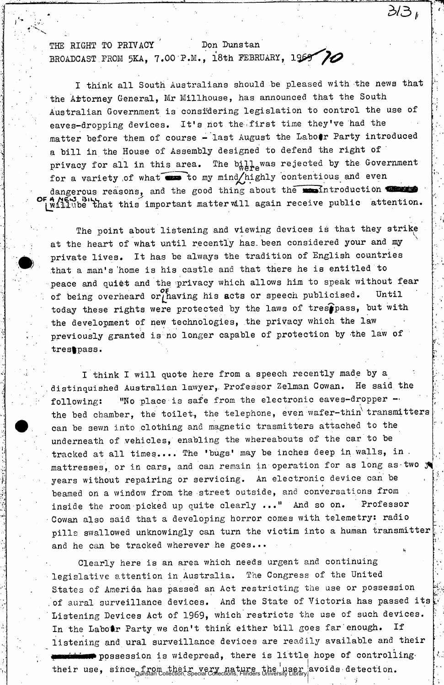THE RIGHT TO PRIVACY Don Dunstan BROADCAST FROM 5KA, 7.00 P.M., 18th FEBRUARY, 1969 70

I think all South Australians should be pleased with the news that the Attorney General, Mr Millhouse, has announced that the South Australian Government is considering legislation to control the use of eaves-dropping devices. It's not the-first time they've had the matter before them of course - last August the Labotr Party introduced a bill in the House of Assembly designed to defend the right of ' privacy for all in this area. The  $b^{\dagger}_{w}b^{\dagger}_{r}c_{w}$  was rejected by the Government for a variety of what  $\bullet$  to my mind/highly contentious and even dangerous reasons, and the good thing about the weintroduction will no that this important matter will again receive public attention.

31.3 i

 $\sigma_{\rm{eff}}$ 

The point about listening and viewing devices is that they strike at the heart of what until recently has been considered your and my private lives. It has be always the tradition of English countries that a man's 'home is his castle and that there he is entitled to peace and quiet and the privacy which allows him to speak without fear of being overheard or having his acts or speech publicised. Until today these rights were protected by the laws of trespass, but with the development of new technologies, the privacy which the law previously granted is no longer capable of protection by the law of trestpass.

I think I will quote here from a speech recently made by a distinquished Australian lawyer,. Professor Zelman Cowan. He said the following: "No place is safe from the electronic eaves-dropper the bed chamber, the toilet, the telephone, even wafer-thin transmitters can be sewn into clothing and magnetic trasmitters attached to the underneath of vehicles, enabling the whereabouts of the car to be tracked at all times.... The 'bugs.' may be inches deep in walls, in . mattresses, or in cars, and can remain in operation for as long as two y years without repairing or servicing. An electronic device can be beamed on a window from the street outside, and conversations from inside the room picked up quite clearly ..." And so on. Professor Cowan also said that a developing horror comes with telemetry: radio pills swallowed unknowingly can turn the victim into a human transmitter and he can be tracked wherever he goes...

Clearly here is an area which needs urgent and continuing legislative attention in Australia. The Congress of the United States of America has passed an Act restricting the use or possession of aural surveillance devices. And the State of Victoria has passed its Listening Devices Act of 1969, which restricts the use of such devices. In the Labotr Party we don't think either bill goes far enough. If listening and ural surveillance devices are readily available and their  $\blacksquare$  possession is widepread, there is little hope of controllingtheir use, since from their very nature the user avoids detection.<br>Dunstan Collection, Special Collections, Flinders University Library!